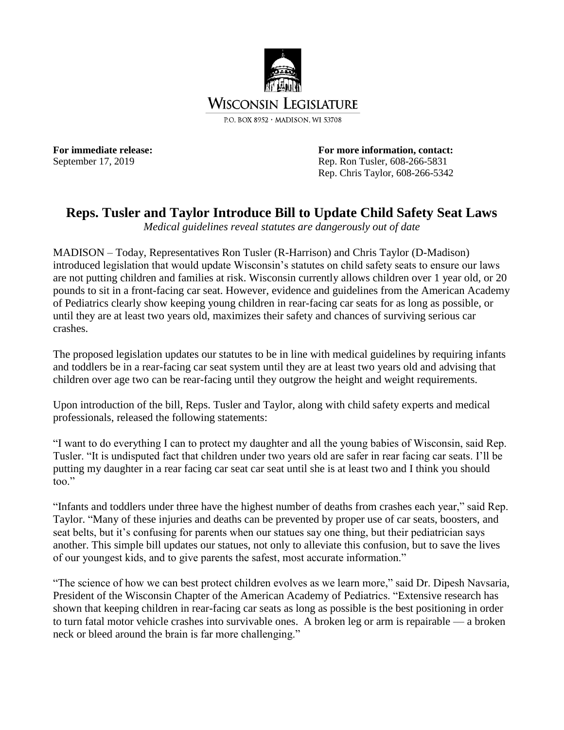

For immediate release: **For more information, contact:** September 17, 2019 Rep. Ron Tusler, 608-266-5831 Rep. Chris Taylor, 608-266-5342

## **Reps. Tusler and Taylor Introduce Bill to Update Child Safety Seat Laws**

*Medical guidelines reveal statutes are dangerously out of date*

MADISON – Today, Representatives Ron Tusler (R-Harrison) and Chris Taylor (D-Madison) introduced legislation that would update Wisconsin's statutes on child safety seats to ensure our laws are not putting children and families at risk. Wisconsin currently allows children over 1 year old, or 20 pounds to sit in a front-facing car seat. However, evidence and guidelines from the American Academy of Pediatrics clearly show keeping young children in rear-facing car seats for as long as possible, or until they are at least two years old, maximizes their safety and chances of surviving serious car crashes.

The proposed legislation updates our statutes to be in line with medical guidelines by requiring infants and toddlers be in a rear-facing car seat system until they are at least two years old and advising that children over age two can be rear-facing until they outgrow the height and weight requirements.

Upon introduction of the bill, Reps. Tusler and Taylor, along with child safety experts and medical professionals, released the following statements:

"I want to do everything I can to protect my daughter and all the young babies of Wisconsin, said Rep. Tusler. "It is undisputed fact that children under two years old are safer in rear facing car seats. I'll be putting my daughter in a rear facing car seat car seat until she is at least two and I think you should too."

"Infants and toddlers under three have the highest number of deaths from crashes each year," said Rep. Taylor. "Many of these injuries and deaths can be prevented by proper use of car seats, boosters, and seat belts, but it's confusing for parents when our statues say one thing, but their pediatrician says another. This simple bill updates our statues, not only to alleviate this confusion, but to save the lives of our youngest kids, and to give parents the safest, most accurate information."

"The science of how we can best protect children evolves as we learn more," said Dr. Dipesh Navsaria, President of the Wisconsin Chapter of the American Academy of Pediatrics. "Extensive research has shown that keeping children in rear-facing car seats as long as possible is the best positioning in order to turn fatal motor vehicle crashes into survivable ones. A broken leg or arm is repairable — a broken neck or bleed around the brain is far more challenging."